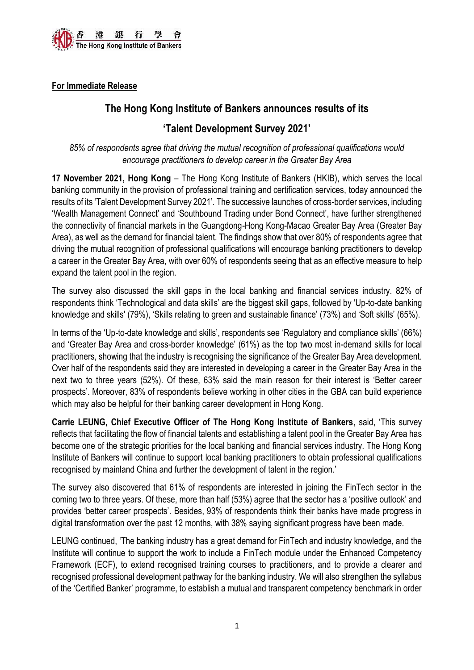

### **For Immediate Release**

# **The Hong Kong Institute of Bankers announces results of its**

## **'Talent Development Survey 2021'**

*85% of respondents agree that driving the mutual recognition of professional qualifications would encourage practitioners to develop career in the Greater Bay Area*

**17 November 2021, Hong Kong** – The Hong Kong Institute of Bankers (HKIB), which serves the local banking community in the provision of professional training and certification services, today announced the results of its 'Talent Development Survey 2021'. The successive launches of cross-border services, including 'Wealth Management Connect' and 'Southbound Trading under Bond Connect', have further strengthened the connectivity of financial markets in the Guangdong-Hong Kong-Macao Greater Bay Area (Greater Bay Area), as well as the demand for financial talent. The findings show that over 80% of respondents agree that driving the mutual recognition of professional qualifications will encourage banking practitioners to develop a career in the Greater Bay Area, with over 60% of respondents seeing that as an effective measure to help expand the talent pool in the region.

The survey also discussed the skill gaps in the local banking and financial services industry. 82% of respondents think 'Technological and data skills' are the biggest skill gaps, followed by 'Up-to-date banking knowledge and skills' (79%), 'Skills relating to green and sustainable finance' (73%) and 'Soft skills' (65%).

In terms of the 'Up-to-date knowledge and skills', respondents see 'Regulatory and compliance skills' (66%) and 'Greater Bay Area and cross-border knowledge' (61%) as the top two most in-demand skills for local practitioners, showing that the industry is recognising the significance of the Greater Bay Area development. Over half of the respondents said they are interested in developing a career in the Greater Bay Area in the next two to three years (52%). Of these, 63% said the main reason for their interest is 'Better career prospects'. Moreover, 83% of respondents believe working in other cities in the GBA can build experience which may also be helpful for their banking career development in Hong Kong.

**Carrie LEUNG, Chief Executive Officer of The Hong Kong Institute of Bankers**, said, 'This survey reflects that facilitating the flow of financial talents and establishing a talent pool in the Greater Bay Area has become one of the strategic priorities for the local banking and financial services industry. The Hong Kong Institute of Bankers will continue to support local banking practitioners to obtain professional qualifications recognised by mainland China and further the development of talent in the region.'

The survey also discovered that 61% of respondents are interested in joining the FinTech sector in the coming two to three years. Of these, more than half (53%) agree that the sector has a 'positive outlook' and provides 'better career prospects'. Besides, 93% of respondents think their banks have made progress in digital transformation over the past 12 months, with 38% saying significant progress have been made.

LEUNG continued, 'The banking industry has a great demand for FinTech and industry knowledge, and the Institute will continue to support the work to include a FinTech module under the Enhanced Competency Framework (ECF), to extend recognised training courses to practitioners, and to provide a clearer and recognised professional development pathway for the banking industry. We will also strengthen the syllabus of the 'Certified Banker' programme, to establish a mutual and transparent competency benchmark in order